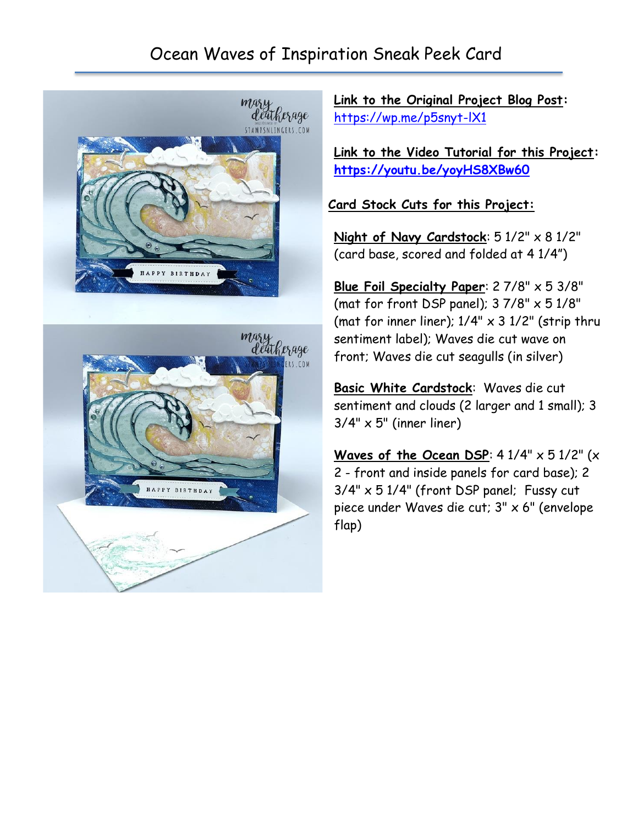## Ocean Waves of Inspiration Sneak Peek Card





**Link to the Original Project Blog Post:** <https://wp.me/p5snyt-lX1>

**Link to the Video Tutorial for this Project: <https://youtu.be/yoyHS8XBw60>**

**Card Stock Cuts for this Project:**

Night of Navy Cardstock:  $51/2" \times 81/2"$ (card base, scored and folded at 4 1/4")

**Blue Foil Specialty Paper**: 2 7/8" x 5 3/8" (mat for front DSP panel);  $37/8" \times 51/8"$ (mat for inner liner);  $1/4" \times 3$   $1/2"$  (strip thru sentiment label); Waves die cut wave on front; Waves die cut seagulls (in silver)

**Basic White Cardstock**: Waves die cut sentiment and clouds (2 larger and 1 small); 3  $3/4" \times 5"$  (inner liner)

**Waves of the Ocean DSP**: 4 1/4" x 5 1/2" (x 2 - front and inside panels for card base); 2 3/4" x 5 1/4" (front DSP panel; Fussy cut piece under Waves die cut; 3" x 6" (envelope flap)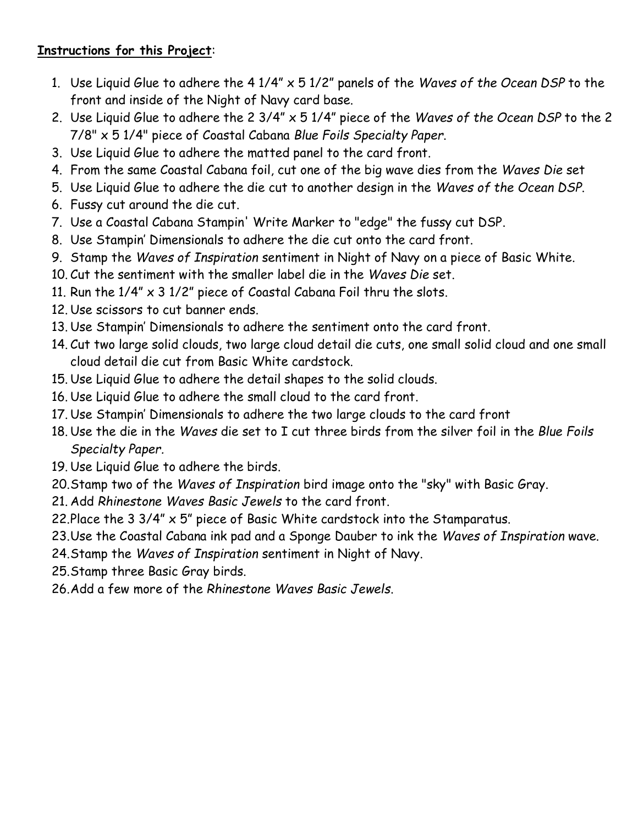## **Instructions for this Project**:

- 1. Use Liquid Glue to adhere the 4 1/4" x 5 1/2" panels of the *Waves of the Ocean DSP* to the front and inside of the Night of Navy card base.
- 2. Use Liquid Glue to adhere the 2 3/4" x 5 1/4" piece of the *Waves of the Ocean DSP* to the 2 7/8" x 5 1/4" piece of Coastal Cabana *Blue Foils Specialty Paper*.
- 3. Use Liquid Glue to adhere the matted panel to the card front.
- 4. From the same Coastal Cabana foil, cut one of the big wave dies from the *Waves Die* set
- 5. Use Liquid Glue to adhere the die cut to another design in the *Waves of the Ocean DSP*.
- 6. Fussy cut around the die cut.
- 7. Use a Coastal Cabana Stampin' Write Marker to "edge" the fussy cut DSP.
- 8. Use Stampin' Dimensionals to adhere the die cut onto the card front.
- 9. Stamp the *Waves of Inspiration* sentiment in Night of Navy on a piece of Basic White.
- 10. Cut the sentiment with the smaller label die in the *Waves Die* set.
- 11. Run the  $1/4'' \times 3$  1/2" piece of Coastal Cabana Foil thru the slots.
- 12. Use scissors to cut banner ends.
- 13. Use Stampin' Dimensionals to adhere the sentiment onto the card front.
- 14. Cut two large solid clouds, two large cloud detail die cuts, one small solid cloud and one small cloud detail die cut from Basic White cardstock.
- 15. Use Liquid Glue to adhere the detail shapes to the solid clouds.
- 16. Use Liquid Glue to adhere the small cloud to the card front.
- 17. Use Stampin' Dimensionals to adhere the two large clouds to the card front
- 18. Use the die in the *Waves* die set to I cut three birds from the silver foil in the *Blue Foils Specialty Paper.*
- 19. Use Liquid Glue to adhere the birds.
- 20.Stamp two of the *Waves of Inspiration* bird image onto the "sky" with Basic Gray.
- 21. Add *Rhinestone Waves Basic Jewels* to the card front.
- 22.Place the 3 3/4" x 5" piece of Basic White cardstock into the Stamparatus.
- 23.Use the Coastal Cabana ink pad and a Sponge Dauber to ink the *Waves of Inspiration* wave.
- 24.Stamp the *Waves of Inspiration* sentiment in Night of Navy.
- 25.Stamp three Basic Gray birds.
- 26.Add a few more of the *Rhinestone Waves Basic Jewels*.